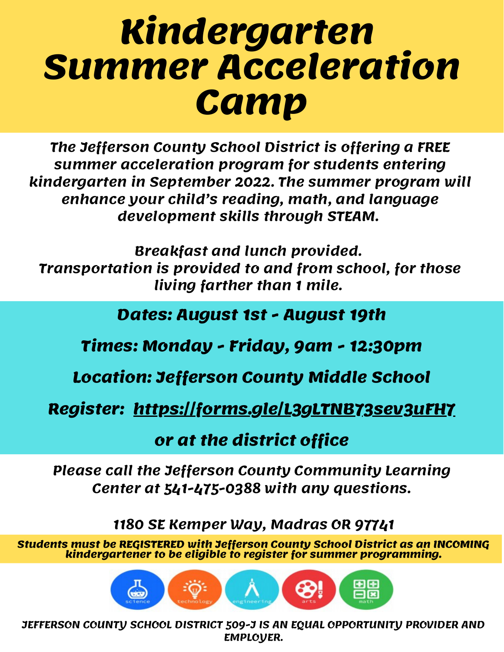## **Kindergarten Summer Acceleration Camp**

**The Jefferson County School District is offering a FREE summer acceleration program for students entering kindergarten in September 2022. The summer program will enhance your child's reading, math, and language development skills through STEAM.**

**Breakfast and lunch provided. Transportation is provided to and from school, for those living farther than 1 mile.**

**Dates: August 1st - August 19th**

**Times: Monday - Friday, 9am - 12:30pm**

**Location: Jefferson County Middle School**

**Register: https://forms.gle/L3gLTNB73sev3uFH7**

**or at the district office**

**Please call the Jefferson County Community Learning Center at 541-475-0388 with any questions.**

**1180 SE Kemper Way, Madras OR 97741**

**Students must be REGISTERED with Jefferson County School District as an INCOMING kindergartener to be eligible to register for summer programming.**

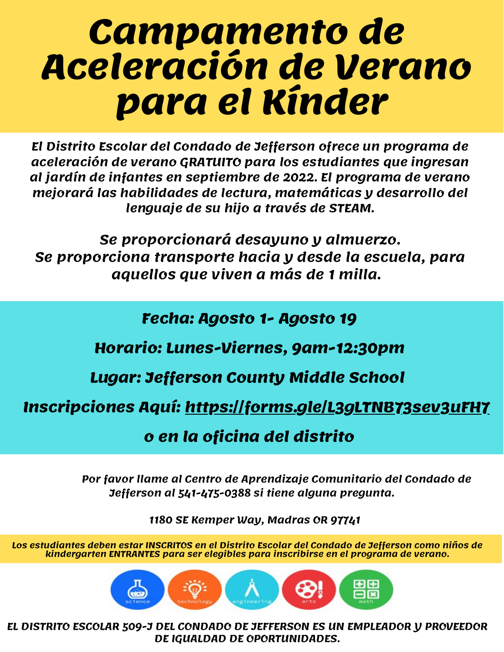## **Campamento de Aceleración de Verano para el Kínder**

**El Distrito Escolar del Condado de Jefferson ofrece un programa de aceleración de verano GRATUITO para los estudiantes que ingresan al jardín de infantes en septiembre de 2022. El programa de verano mejorará las habilidades de lectura, matemáticas y desarrollo del lenguaje de su hijo a través de STEAM.**

**Se proporcionará desayuno y almuerzo. Se proporciona transporte hacia y desde la escuela, para aquellos que viven a más de 1 milla.**

**Fecha: Agosto 1- Agosto 19**

**Horario: Lunes-Viernes, 9am-12:30pm**

**Lugar: Jefferson County Middle School**

**Inscripciones Aquí: https://forms.gle/L3gLTNB73sev3uFH7**

**o en la oficina del distrito**

**Por favor llame al Centro de Aprendizaje Comunitario del Condado de Jefferson al 541-475-0388 si tiene alguna pregunta.**

**1180 SE Kemper Way, Madras OR 97741**

**Los estudiantes deben estar INSCRITOS en el Distrito Escolar del Condado de Jefferson como niños de kindergarten ENTRANTES para ser elegibles para inscribirse en el programa de verano.**



**EL DISTRITO ESCOLAR 509-J DEL CONDADO DE JEFFERSON ES UN EMPLEADOR Y PROVEEDOR DE IGUALDAD DE OPORTUNIDADES.**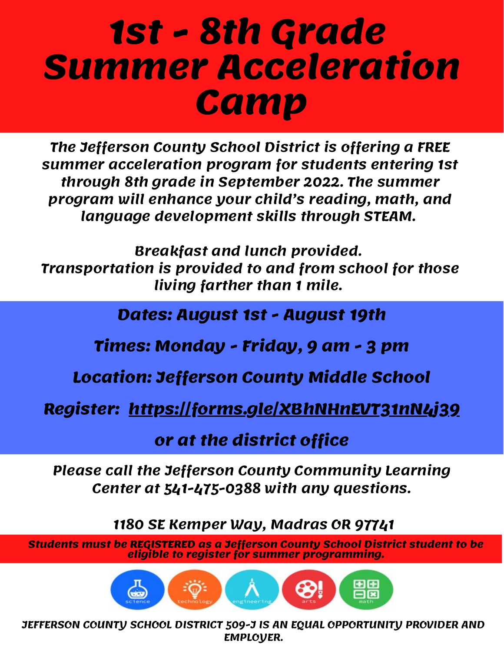## **1st - 8th Grade Summer Acceleration Camp**

**The Jefferson County School District is offering a FREE summer acceleration program for students entering 1st through 8th grade in September 2022. The summer program will enhance your child's reading, math, and language development skills through STEAM.**

**Breakfast and lunch provided. Transportation is provided to and from school for those living farther than 1 mile.**

**Dates: August 1st - August 19th**

**Times: Monday - Friday, 9 am - 3 pm**

**Location: Jefferson County Middle School**

**Register: https://forms.gle/XBhNHnEVT31nN4j39**

**or at the district office**

**Please call the Jefferson County Community Learning Center at 541-475-0388 with any questions.**

**1180 SE Kemper Way, Madras OR 97741**

**Students must be REGISTERED as a Jefferson County School District student to be eligible to register for summer programming.**

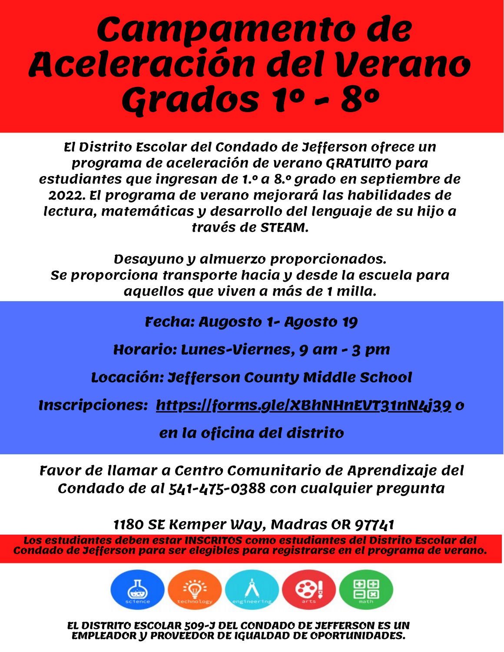#### **Campamento de Aceleración del Verano Grados 1° - 8°**

**El Distrito Escolar del Condado de Jefferson ofrece un programa de aceleración de verano GRATUITO para estudiantes que ingresan de 1.° a 8.° grado en septiembre de 2022. El programa de verano mejorará las habilidades de lectura, matemáticas y desarrollo del lenguaje de su hijo a través de STEAM.**

**Desayuno y almuerzo proporcionados. Se proporciona transporte hacia y desde la escuela para aquellos que viven a más de 1 milla.**

**Fecha: Augosto 1- Agosto 19**

**Horario: Lunes-Viernes, 9 am - 3 pm**

**Locación: Jefferson County Middle School**

**Inscripciones: https://forms.gle/XBhNHnEVT31nN4j39 o**

**en la oficina del distrito**

**Favor de llamar a Centro Comunitario de Aprendizaje del Condado de al 541-475-0388 con cualquier pregunta**

**1180 SE Kemper Way, Madras OR 97741**

**Los estudiantes deben estar INSCRITOS como estudiantes del Distrito Escolar del Condado de Jefferson para ser elegibles para registrarse en el programa de verano.**



**EL DISTRITO ESCOLAR 509-J DEL CONDADO DE JEFFERSON ES UN EMPLEADOR Y PROVEEDOR DE IGUALDAD DE OPORTUNIDADES.**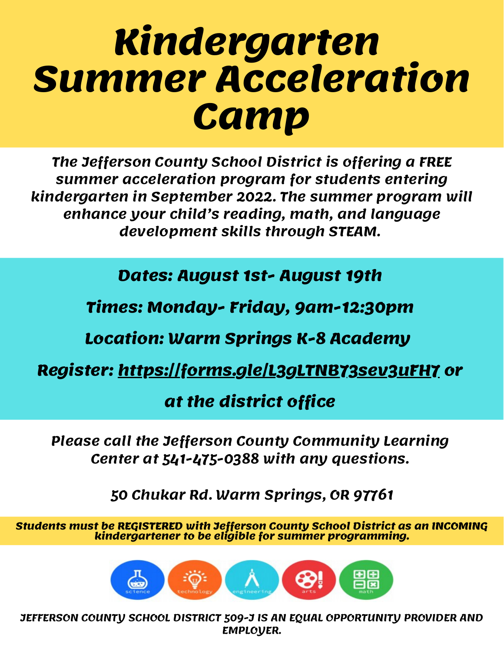## **Kindergarten Summer Acceleration Camp**

**The Jefferson County School District is offering a FREE summer acceleration program for students entering kindergarten in September 2022. The summer program will enhance your child's reading, math, and language development skills through STEAM.**

**Breakfast and lunch provided. Transportation is provided to and from school, for those Dates: August 1st- August 19th**

**living farther than 1 mile. Times: Monday- Friday, 9am-12:30pm**

**Location: Warm Springs K-8 Academy**

**Register: https://forms.gle/L3gLTNB73sev3uFH7 or**

#### **at the district office**

**Please call the Jefferson County Community Learning Center at 541-475-0388 with any questions.**

**50 Chukar Rd. Warm Springs, OR 97761**

**Students must be REGISTERED with Jefferson County School District as an INCOMING kindergartener to be eligible for summer programming.**

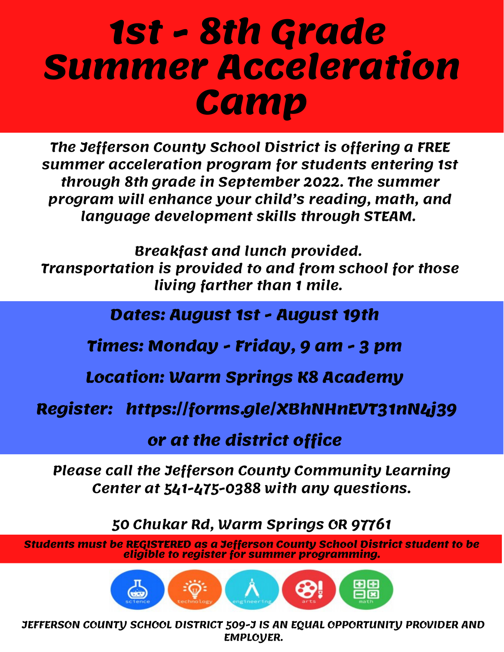## **1st - 8th Grade Summer Acceleration Camp**

**The Jefferson County School District is offering a FREE summer acceleration program for students entering 1st through 8th grade in September 2022. The summer program will enhance your child's reading, math, and language development skills through STEAM.**

**Breakfast and lunch provided. Transportation is provided to and from school for those living farther than 1 mile.**

**Dates: August 1st - August 19th**

**Times: Monday - Friday, 9 am - 3 pm**

**Location: Warm Springs K8 Academy**

**Register: https://forms.gle/XBhNHnEVT31nN4j39**

**or at the district office**

**Please call the Jefferson County Community Learning Center at 541-475-0388 with any questions.**

**50 Chukar Rd, Warm Springs OR 97761**

**Students must be REGISTERED as a Jefferson County School District student to be eligible to register for summer programming.**

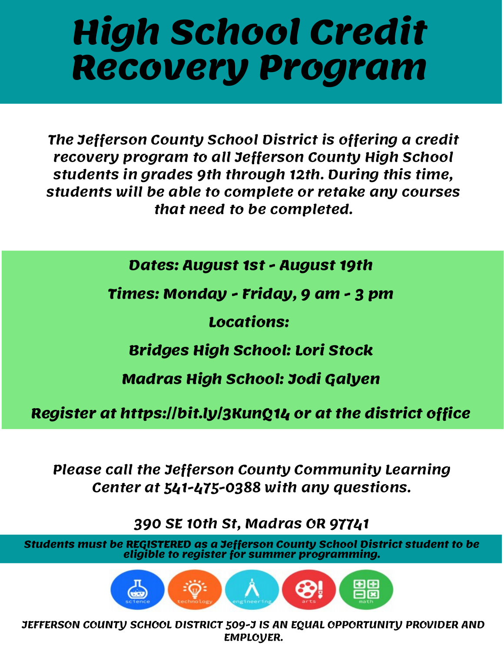# **High School Credit Recovery Program**

**The Jefferson County School District is offering a credit recovery program to all Jefferson County High School students in grades 9th through 12th. During this time, students will be able to complete or retake any courses that need to be completed.**

**Dates: August 1st - August 19th**

**Times: Monday - Friday, 9 am - 3 pm**

**Locations:**

**Bridges High School: Lori Stock**

**Madras High School: Jodi Galyen**

**Register at https://bit.ly/3KunQ14 or at the district office**

**Please call the Jefferson County Community Learning Center at 541-475-0388 with any questions.**

**390 SE 10th St, Madras OR 97741**

**Students must be REGISTERED as a Jefferson County School District student to be eligible to register for summer programming.**